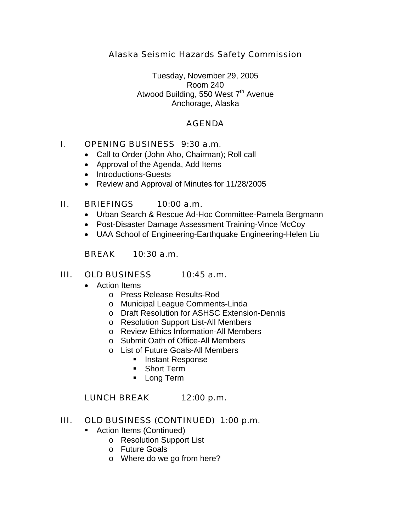## *Alaska Seismic Hazards Safety Commission*

Tuesday, November 29, 2005 Room 240 Atwood Building, 550 West 7<sup>th</sup> Avenue Anchorage, Alaska

### *AGENDA*

### *I. OPENING BUSINESS 9:30 a.m.*

- Call to Order (John Aho, Chairman); Roll call
- Approval of the Agenda, Add Items
- Introductions-Guests
- Review and Approval of Minutes for 11/28/2005

### *II. BRIEFINGS 10:00 a.m.*

- Urban Search & Rescue Ad-Hoc Committee-Pamela Bergmann
- Post-Disaster Damage Assessment Training-Vince McCoy
- UAA School of Engineering-Earthquake Engineering-Helen Liu

### *BREAK 10:30 a.m.*

#### *III. OLD BUSINESS 10:45 a.m.*

- Action Items
	- o Press Release Results-Rod
	- o Municipal League Comments-Linda
	- o Draft Resolution for ASHSC Extension-Dennis
	- o Resolution Support List-All Members
	- o Review Ethics Information-All Members
	- o Submit Oath of Office-All Members
	- o List of Future Goals-All Members
		- **Instant Response**
		- **Short Term**
		- **Long Term**

#### *LUNCH BREAK 12:00 p.m.*

#### *III. OLD BUSINESS (CONTINUED) 1:00 p.m.*

- **Action Items (Continued)** 
	- o Resolution Support List
	- o Future Goals
	- o Where do we go from here?